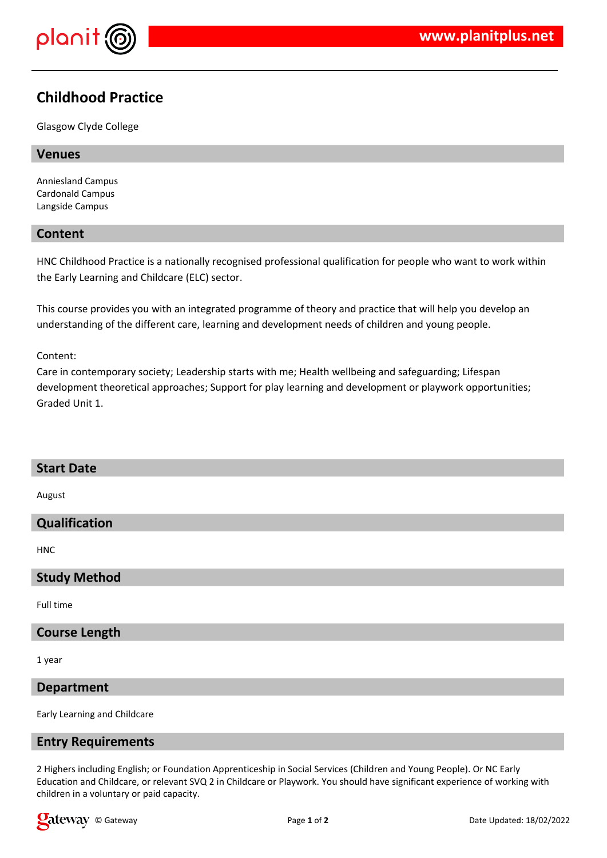

# **Childhood Practice**

Glasgow Clyde College

## **Venues**

Anniesland Campus Cardonald Campus Langside Campus

# **Content**

HNC Childhood Practice is a nationally recognised professional qualification for people who want to work within the Early Learning and Childcare (ELC) sector.

This course provides you with an integrated programme of theory and practice that will help you develop an understanding of the different care, learning and development needs of children and young people.

#### Content:

Care in contemporary society; Leadership starts with me; Health wellbeing and safeguarding; Lifespan development theoretical approaches; Support for play learning and development or playwork opportunities; Graded Unit 1.

# **Start Date**

August

## **Qualification**

HNC

## **Study Method**

Full time

# **Course Length**

1 year

## **Department**

Early Learning and Childcare

## **Entry Requirements**

2 Highers including English; or Foundation Apprenticeship in Social Services (Children and Young People). Or NC Early Education and Childcare, or relevant SVQ 2 in Childcare or Playwork. You should have significant experience of working with children in a voluntary or paid capacity.